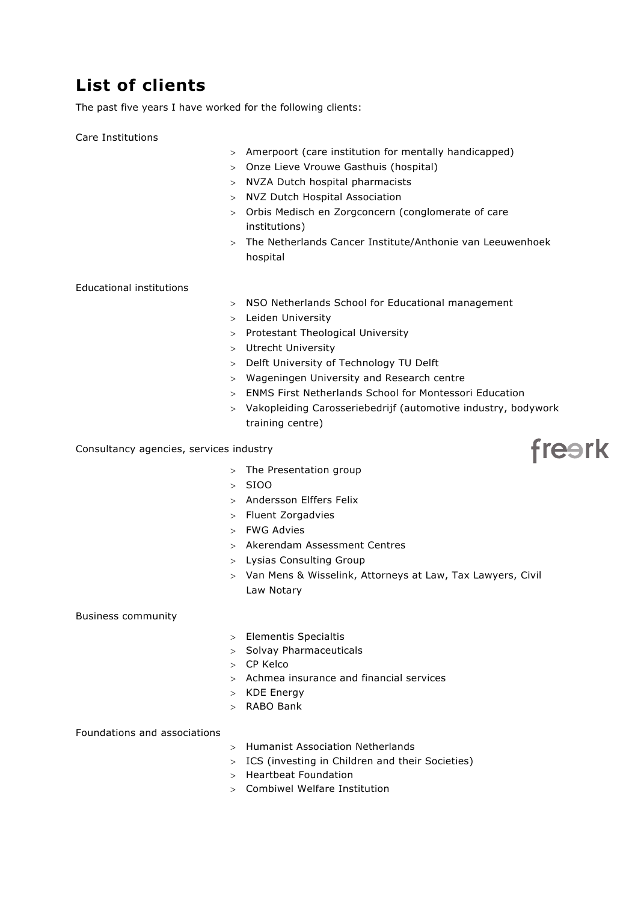## **List of clients**

The past five years I have worked for the following clients:

Care Institutions

- > Amerpoort (care institution for mentally handicapped)
- > Onze Lieve Vrouwe Gasthuis (hospital)
- > NVZA Dutch hospital pharmacists
- > NVZ Dutch Hospital Association
- > Orbis Medisch en Zorgconcern (conglomerate of care institutions)
- > The Netherlands Cancer Institute/Anthonie van Leeuwenhoek hospital

Educational institutions

- > NSO Netherlands School for Educational management
- > Leiden University
- > Protestant Theological University
- > Utrecht University
- > Delft University of Technology TU Delft
- > Wageningen University and Research centre
- > ENMS First Netherlands School for Montessori Education
- > Vakopleiding Carosseriebedrijf (automotive industry, bodywork training centre)

Consultancy agencies, services industry

- > The Presentation group
- > SIOO
- > Andersson Elffers Felix
- > Fluent Zorgadvies
- > FWG Advies
- > Akerendam Assessment Centres
- > Lysias Consulting Group
- > Van Mens & Wisselink, Attorneys at Law, Tax Lawyers, Civil Law Notary

Business community

- > Elementis Specialtis
- > Solvay Pharmaceuticals
- > CP Kelco
- > Achmea insurance and financial services
- > KDE Energy
- > RABO Bank

Foundations and associations

- > Humanist Association Netherlands
- > ICS (investing in Children and their Societies)
- > Heartbeat Foundation
- > Combiwel Welfare Institution